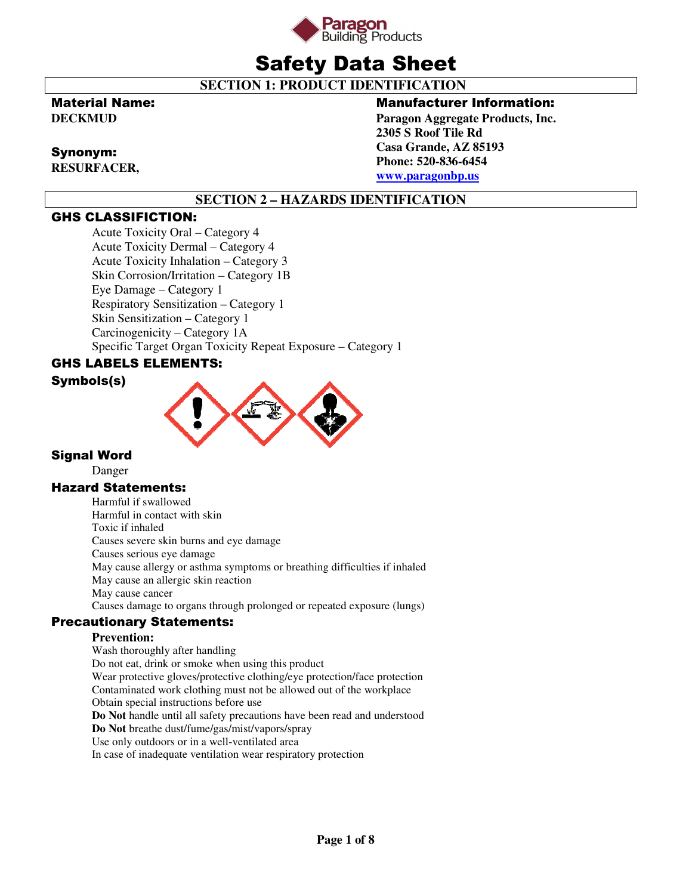

# Safety Data Sheet

 **SECTION 1: PRODUCT IDENTIFICATION** 

# Material Name:

**DECKMUD** 

# Synonym:

**RESURFACER,** 

### Manufacturer Information:

**Paragon Aggregate Products, Inc. 2305 S Roof Tile Rd Casa Grande, AZ 85193 Phone: 520-836-6454 www.paragonbp.us**

# **SECTION 2 – HAZARDS IDENTIFICATION**

### GHS CLASSIFICTION:

Acute Toxicity Oral – Category 4 Acute Toxicity Dermal – Category 4 Acute Toxicity Inhalation – Category 3 Skin Corrosion/Irritation – Category 1B Eye Damage – Category 1 Respiratory Sensitization – Category 1 Skin Sensitization – Category 1 Carcinogenicity – Category 1A Specific Target Organ Toxicity Repeat Exposure – Category 1

# GHS LABELS ELEMENTS:

### Symbols(s)



### Signal Word

Danger

### Hazard Statements:

Harmful if swallowed Harmful in contact with skin Toxic if inhaled Causes severe skin burns and eye damage Causes serious eye damage May cause allergy or asthma symptoms or breathing difficulties if inhaled May cause an allergic skin reaction May cause cancer Causes damage to organs through prolonged or repeated exposure (lungs)

### Precautionary Statements:

### **Prevention:**

Wash thoroughly after handling Do not eat, drink or smoke when using this product Wear protective gloves/protective clothing/eye protection/face protection Contaminated work clothing must not be allowed out of the workplace Obtain special instructions before use **Do Not** handle until all safety precautions have been read and understood **Do Not** breathe dust/fume/gas/mist/vapors/spray Use only outdoors or in a well-ventilated area In case of inadequate ventilation wear respiratory protection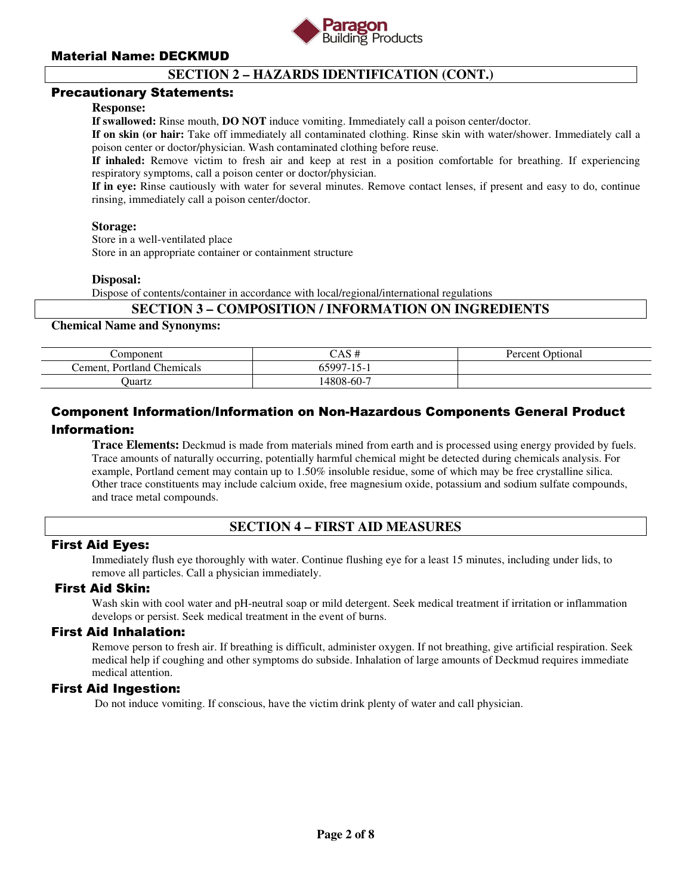

### **SECTION 2 – HAZARDS IDENTIFICATION (CONT.)**

### Precautionary Statements:

#### **Response:**

**If swallowed:** Rinse mouth, **DO NOT** induce vomiting. Immediately call a poison center/doctor.

**If on skin (or hair:** Take off immediately all contaminated clothing. Rinse skin with water/shower. Immediately call a poison center or doctor/physician. Wash contaminated clothing before reuse.

**If inhaled:** Remove victim to fresh air and keep at rest in a position comfortable for breathing. If experiencing respiratory symptoms, call a poison center or doctor/physician.

**If in eye:** Rinse cautiously with water for several minutes. Remove contact lenses, if present and easy to do, continue rinsing, immediately call a poison center/doctor.

#### **Storage:**

 Store in a well-ventilated place Store in an appropriate container or containment structure

#### **Disposal:**

Dispose of contents/container in accordance with local/regional/international regulations

### **SECTION 3 – COMPOSITION / INFORMATION ON INGREDIENTS**

#### **Chemical Name and Synonyms:**

| ∠omponent                           | $\Lambda$ C $\#$<br>יד כ⊾ד∠                       | Optional<br>Percent |
|-------------------------------------|---------------------------------------------------|---------------------|
| Chemicals<br>∴ement<br>. Portland ′ | $\sim$<br>,5997<br>$\mathbf{v}$<br>. <sub>.</sub> |                     |
| Juartz                              | 14808-60-7                                        |                     |

# Component Information/Information on Non-Hazardous Components General Product Information:

**Trace Elements:** Deckmud is made from materials mined from earth and is processed using energy provided by fuels. Trace amounts of naturally occurring, potentially harmful chemical might be detected during chemicals analysis. For example, Portland cement may contain up to 1.50% insoluble residue, some of which may be free crystalline silica. Other trace constituents may include calcium oxide, free magnesium oxide, potassium and sodium sulfate compounds, and trace metal compounds.

### **SECTION 4 – FIRST AID MEASURES**

### First Aid Eyes:

Immediately flush eye thoroughly with water. Continue flushing eye for a least 15 minutes, including under lids, to remove all particles. Call a physician immediately.

### First Aid Skin:

Wash skin with cool water and pH-neutral soap or mild detergent. Seek medical treatment if irritation or inflammation develops or persist. Seek medical treatment in the event of burns.

### First Aid Inhalation:

Remove person to fresh air. If breathing is difficult, administer oxygen. If not breathing, give artificial respiration. Seek medical help if coughing and other symptoms do subside. Inhalation of large amounts of Deckmud requires immediate medical attention.

#### First Aid Ingestion:

Do not induce vomiting. If conscious, have the victim drink plenty of water and call physician.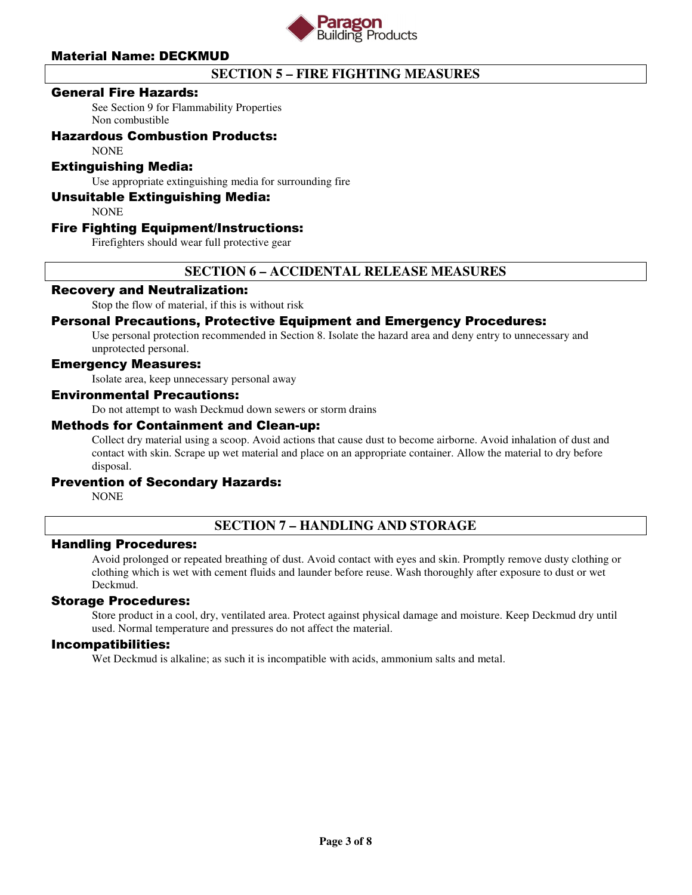

# **SECTION 5 – FIRE FIGHTING MEASURES**

### General Fire Hazards:

See Section 9 for Flammability Properties Non combustible

### Hazardous Combustion Products:

**NONE** 

### Extinguishing Media:

Use appropriate extinguishing media for surrounding fire

### Unsuitable Extinguishing Media:

**NONE** 

### Fire Fighting Equipment/Instructions:

Firefighters should wear full protective gear

### **SECTION 6 – ACCIDENTAL RELEASE MEASURES**

### Recovery and Neutralization:

Stop the flow of material, if this is without risk

### Personal Precautions, Protective Equipment and Emergency Procedures:

Use personal protection recommended in Section 8. Isolate the hazard area and deny entry to unnecessary and unprotected personal.

### Emergency Measures:

Isolate area, keep unnecessary personal away

### Environmental Precautions:

Do not attempt to wash Deckmud down sewers or storm drains

#### Methods for Containment and Clean-up:

Collect dry material using a scoop. Avoid actions that cause dust to become airborne. Avoid inhalation of dust and contact with skin. Scrape up wet material and place on an appropriate container. Allow the material to dry before disposal.

### Prevention of Secondary Hazards:

NONE

### **SECTION 7 – HANDLING AND STORAGE**

### Handling Procedures:

Avoid prolonged or repeated breathing of dust. Avoid contact with eyes and skin. Promptly remove dusty clothing or clothing which is wet with cement fluids and launder before reuse. Wash thoroughly after exposure to dust or wet Deckmud.

### Storage Procedures:

Store product in a cool, dry, ventilated area. Protect against physical damage and moisture. Keep Deckmud dry until used. Normal temperature and pressures do not affect the material.

#### Incompatibilities:

Wet Deckmud is alkaline; as such it is incompatible with acids, ammonium salts and metal.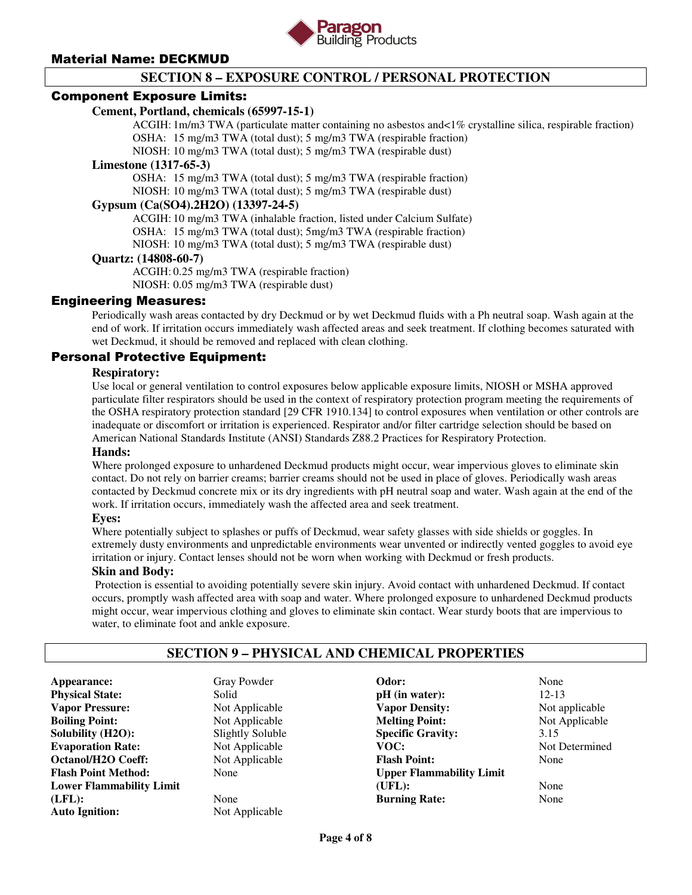

### **SECTION 8 – EXPOSURE CONTROL / PERSONAL PROTECTION**

### Component Exposure Limits:

### **Cement, Portland, chemicals (65997-15-1)**

 ACGIH: 1m/m3 TWA (particulate matter containing no asbestos and<1% crystalline silica, respirable fraction) OSHA: 15 mg/m3 TWA (total dust); 5 mg/m3 TWA (respirable fraction)

NIOSH: 10 mg/m3 TWA (total dust); 5 mg/m3 TWA (respirable dust)

#### **Limestone (1317-65-3)**

 OSHA: 15 mg/m3 TWA (total dust); 5 mg/m3 TWA (respirable fraction) NIOSH: 10 mg/m3 TWA (total dust); 5 mg/m3 TWA (respirable dust)

### **Gypsum (Ca(SO4).2H2O) (13397-24-5)**

 ACGIH: 10 mg/m3 TWA (inhalable fraction, listed under Calcium Sulfate) OSHA: 15 mg/m3 TWA (total dust); 5mg/m3 TWA (respirable fraction) NIOSH: 10 mg/m3 TWA (total dust); 5 mg/m3 TWA (respirable dust)

#### **Quartz: (14808-60-7)**

 ACGIH: 0.25 mg/m3 TWA (respirable fraction) NIOSH: 0.05 mg/m3 TWA (respirable dust)

### Engineering Measures:

Periodically wash areas contacted by dry Deckmud or by wet Deckmud fluids with a Ph neutral soap. Wash again at the end of work. If irritation occurs immediately wash affected areas and seek treatment. If clothing becomes saturated with wet Deckmud, it should be removed and replaced with clean clothing.

### Personal Protective Equipment:

### **Respiratory:**

Use local or general ventilation to control exposures below applicable exposure limits, NIOSH or MSHA approved particulate filter respirators should be used in the context of respiratory protection program meeting the requirements of the OSHA respiratory protection standard [29 CFR 1910.134] to control exposures when ventilation or other controls are inadequate or discomfort or irritation is experienced. Respirator and/or filter cartridge selection should be based on American National Standards Institute (ANSI) Standards Z88.2 Practices for Respiratory Protection.

### **Hands:**

Where prolonged exposure to unhardened Deckmud products might occur, wear impervious gloves to eliminate skin contact. Do not rely on barrier creams; barrier creams should not be used in place of gloves. Periodically wash areas contacted by Deckmud concrete mix or its dry ingredients with pH neutral soap and water. Wash again at the end of the work. If irritation occurs, immediately wash the affected area and seek treatment.

#### **Eyes:**

Where potentially subject to splashes or puffs of Deckmud, wear safety glasses with side shields or goggles. In extremely dusty environments and unpredictable environments wear unvented or indirectly vented goggles to avoid eye irritation or injury. Contact lenses should not be worn when working with Deckmud or fresh products.

#### **Skin and Body:**

Protection is essential to avoiding potentially severe skin injury. Avoid contact with unhardened Deckmud. If contact occurs, promptly wash affected area with soap and water. Where prolonged exposure to unhardened Deckmud products might occur, wear impervious clothing and gloves to eliminate skin contact. Wear sturdy boots that are impervious to water, to eliminate foot and ankle exposure.

### **SECTION 9 – PHYSICAL AND CHEMICAL PROPERTIES**

**Appearance:** Gray Powder **Physical State:** Solid **Vapor Pressure:** Not Applicable **Boiling Point:** Not Applicable **Solubility (H2O):** Slightly Soluble **Evaporation Rate:** Not Applicable **Octanol/H2O Coeff:** Not Applicable **Flash Point Method:** None **Lower Flammability Limit (LFL):** None **Auto Ignition:** Not Applicable

**Odor:** None **pH** (in water): 12-13 **Vapor Density:** Not applicable **Melting Point:** Not Applicable **Specific Gravity:** 3.15<br> **VOC:** Not 1 **Flash Point:** None **Upper Flammability Limit (UFL):** None **Burning Rate:** None

**Not Determined**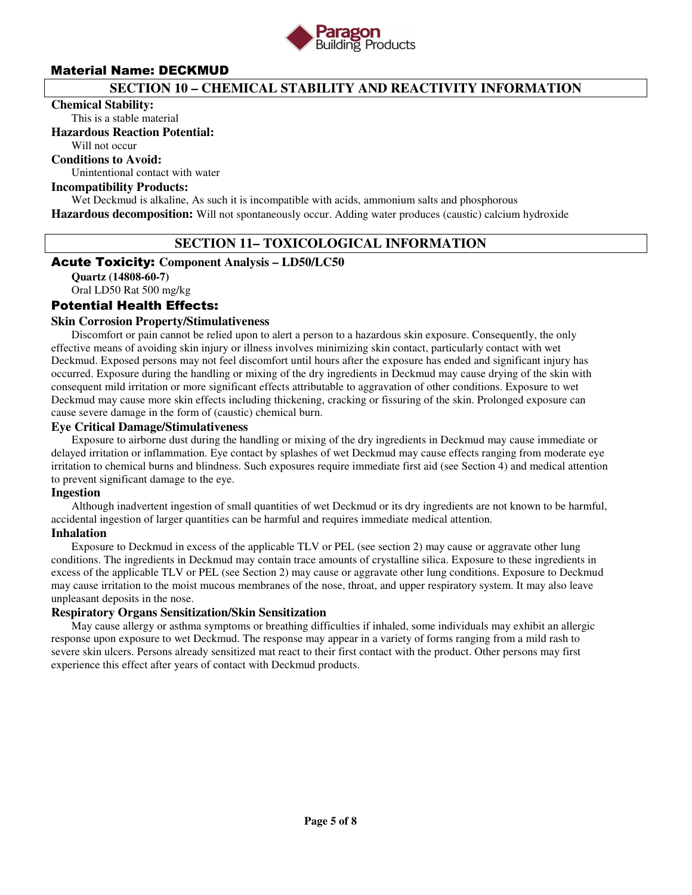

### **SECTION 10 – CHEMICAL STABILITY AND REACTIVITY INFORMATION**

#### **Chemical Stability:**

This is a stable material

### **Hazardous Reaction Potential:**

Will not occur

### **Conditions to Avoid:**

Unintentional contact with water

#### **Incompatibility Products:**

Wet Deckmud is alkaline, As such it is incompatible with acids, ammonium salts and phosphorous **Hazardous decomposition:** Will not spontaneously occur. Adding water produces (caustic) calcium hydroxide

### **SECTION 11– TOXICOLOGICAL INFORMATION**

### Acute Toxicity: **Component Analysis – LD50/LC50**

**Quartz (14808-60-7)**  Oral LD50 Rat 500 mg/kg

### Potential Health Effects:

### **Skin Corrosion Property/Stimulativeness**

 Discomfort or pain cannot be relied upon to alert a person to a hazardous skin exposure. Consequently, the only effective means of avoiding skin injury or illness involves minimizing skin contact, particularly contact with wet Deckmud. Exposed persons may not feel discomfort until hours after the exposure has ended and significant injury has occurred. Exposure during the handling or mixing of the dry ingredients in Deckmud may cause drying of the skin with consequent mild irritation or more significant effects attributable to aggravation of other conditions. Exposure to wet Deckmud may cause more skin effects including thickening, cracking or fissuring of the skin. Prolonged exposure can cause severe damage in the form of (caustic) chemical burn.

### **Eye Critical Damage/Stimulativeness**

 Exposure to airborne dust during the handling or mixing of the dry ingredients in Deckmud may cause immediate or delayed irritation or inflammation. Eye contact by splashes of wet Deckmud may cause effects ranging from moderate eye irritation to chemical burns and blindness. Such exposures require immediate first aid (see Section 4) and medical attention to prevent significant damage to the eye.

### **Ingestion**

 Although inadvertent ingestion of small quantities of wet Deckmud or its dry ingredients are not known to be harmful, accidental ingestion of larger quantities can be harmful and requires immediate medical attention.

### **Inhalation**

 Exposure to Deckmud in excess of the applicable TLV or PEL (see section 2) may cause or aggravate other lung conditions. The ingredients in Deckmud may contain trace amounts of crystalline silica. Exposure to these ingredients in excess of the applicable TLV or PEL (see Section 2) may cause or aggravate other lung conditions. Exposure to Deckmud may cause irritation to the moist mucous membranes of the nose, throat, and upper respiratory system. It may also leave unpleasant deposits in the nose.

### **Respiratory Organs Sensitization/Skin Sensitization**

 May cause allergy or asthma symptoms or breathing difficulties if inhaled, some individuals may exhibit an allergic response upon exposure to wet Deckmud. The response may appear in a variety of forms ranging from a mild rash to severe skin ulcers. Persons already sensitized mat react to their first contact with the product. Other persons may first experience this effect after years of contact with Deckmud products.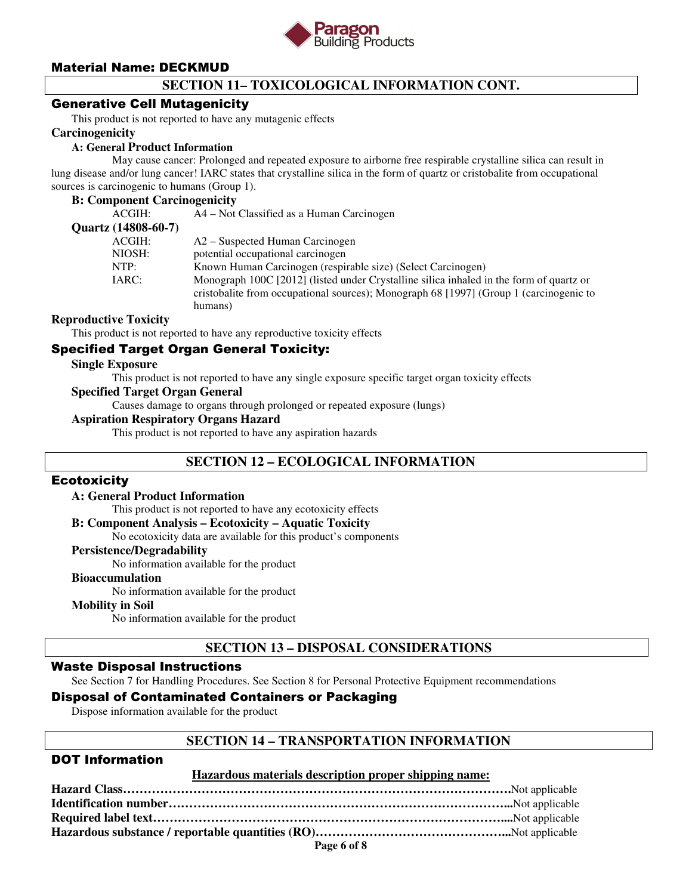

# **SECTION 11– TOXICOLOGICAL INFORMATION CONT.**

### Generative Cell Mutagenicity

This product is not reported to have any mutagenic effects

#### **Carcinogenicity**

#### **A: General Product Information**

May cause cancer: Prolonged and repeated exposure to airborne free respirable crystalline silica can result in lung disease and/or lung cancer! IARC states that crystalline silica in the form of quartz or cristobalite from occupational sources is carcinogenic to humans (Group 1).

#### **B: Component Carcinogenicity**

| ACGIH:              | A4 – Not Classified as a Human Carcinogen                                               |
|---------------------|-----------------------------------------------------------------------------------------|
| Quartz (14808-60-7) |                                                                                         |
| ACGIH:              | A2 – Suspected Human Carcinogen                                                         |
| NIOSH:              | potential occupational carcinogen                                                       |
| NTP:                | Known Human Carcinogen (respirable size) (Select Carcinogen)                            |
| IARC:               | Monograph 100C [2012] (listed under Crystalline silica inhaled in the form of quartz or |
|                     | cristobalite from occupational sources); Monograph 68 [1997] (Group 1 (carcinogenic to  |
|                     | humans)                                                                                 |
|                     |                                                                                         |

### **Reproductive Toxicity**

This product is not reported to have any reproductive toxicity effects

### Specified Target Organ General Toxicity:

#### **Single Exposure**

This product is not reported to have any single exposure specific target organ toxicity effects

#### **Specified Target Organ General**

Causes damage to organs through prolonged or repeated exposure (lungs)

### **Aspiration Respiratory Organs Hazard**

This product is not reported to have any aspiration hazards

### **SECTION 12 – ECOLOGICAL INFORMATION**

### **Ecotoxicity**

#### **A: General Product Information**

This product is not reported to have any ecotoxicity effects

#### **B: Component Analysis – Ecotoxicity – Aquatic Toxicity**

No ecotoxicity data are available for this product's components

#### **Persistence/Degradability**

No information available for the product

#### **Bioaccumulation**

No information available for the product

### **Mobility in Soil**

No information available for the product

### **SECTION 13 – DISPOSAL CONSIDERATIONS**

### Waste Disposal Instructions

See Section 7 for Handling Procedures. See Section 8 for Personal Protective Equipment recommendations

### Disposal of Contaminated Containers or Packaging

Dispose information available for the product

### **SECTION 14 – TRANSPORTATION INFORMATION**

### DOT Information

#### **Hazardous materials description proper shipping name:**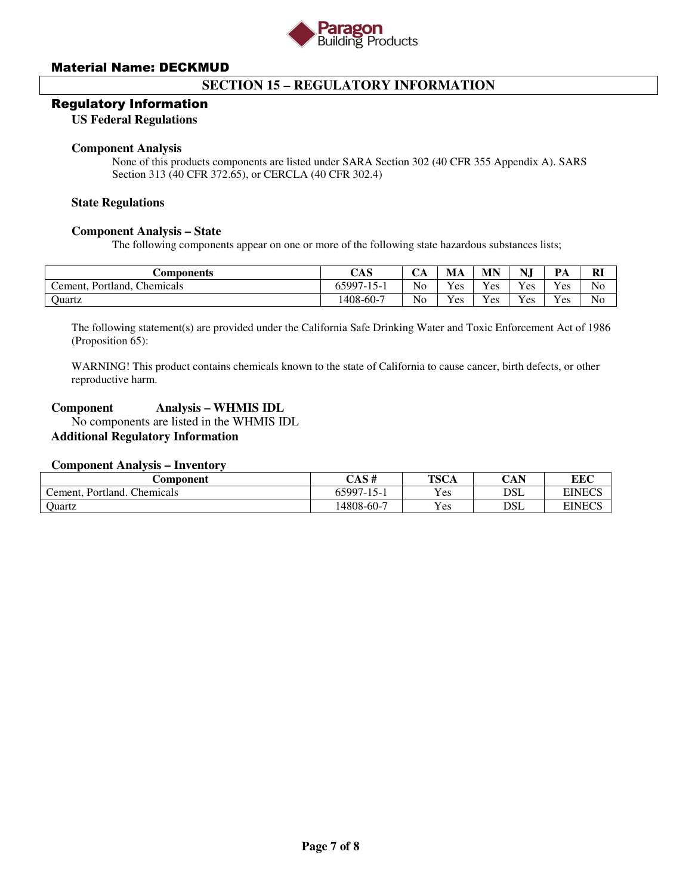

### **SECTION 15 – REGULATORY INFORMATION**

#### Regulatory Information

### **US Federal Regulations**

#### **Component Analysis**

None of this products components are listed under SARA Section 302 (40 CFR 355 Appendix A). SARS Section 313 (40 CFR 372.65), or CERCLA (40 CFR 302.4)

#### **State Regulations**

#### **Component Analysis – State**

The following components appear on one or more of the following state hazardous substances lists;

| <b>Components</b>                  | CAS               | ◡◠       | MA  | <b>MN</b> | NJ  | PА  | <b>RI</b> |
|------------------------------------|-------------------|----------|-----|-----------|-----|-----|-----------|
| Chemicals<br>Portland.<br>Cement.' | 65997-1<br>$15 -$ | $\rm No$ | Yes | Yes       | Yes | Yes | No        |
| <b>Quartz</b>                      | 1408-60-7         | No       | Yes | Yes       | Yes | Yes | No        |

The following statement(s) are provided under the California Safe Drinking Water and Toxic Enforcement Act of 1986 (Proposition 65):

WARNING! This product contains chemicals known to the state of California to cause cancer, birth defects, or other reproductive harm.

### **Component Analysis – WHMIS IDL**

 No components are listed in the WHMIS IDL **Additional Regulatory Information** 

#### **Component Analysis – Inventory**

| <b>Component</b>                              | CAS #      | <b>TSCA</b> | CAN | <b>EEC</b>    |
|-----------------------------------------------|------------|-------------|-----|---------------|
| Chemicals<br>Portland.<br>$c$ ement. $\prime$ | 65997-15-1 | Yes         | DSL | <b>EINECS</b> |
| Quartz                                        | 14808-60-7 | Yes         | DSL | <b>EINECS</b> |